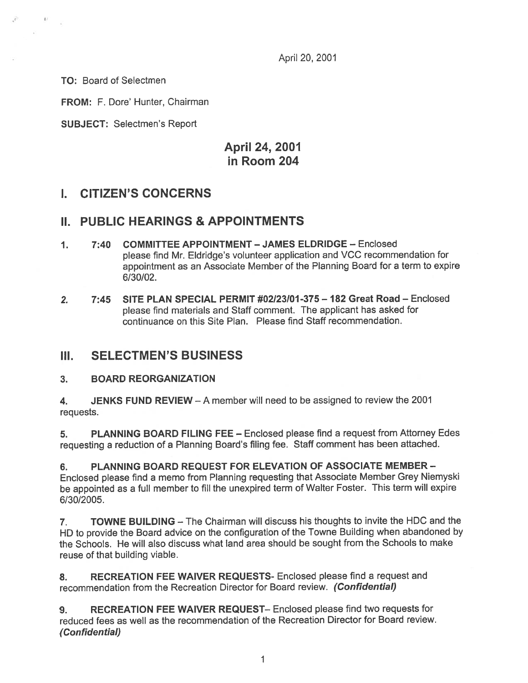April 20, 2001

TO: Board of Selectmen

 $41.$ 

FROM: F. Dore' Hunter, Chairman

SUBJECT: Selectmen's Report

# April 24, 2001 in Room 204

### I. CITIZEN'S CONCERNS

### II. PUBLIC HEARINGS & APPOINTMENTS

- 1. 7:40 COMMITTEE APPOINTMENT JAMES ELDRIDGE Enclosed <sup>p</sup>lease find Mr. Eldridge's volunteer application and VCC recommendation for appointment as an Associate Member of the Planning Board for <sup>a</sup> term to expire 6/30/02.
- 2. 7:45 SITE PLAN SPECIAL PERMIT #02123/Of -375— 182 Great Road Enclosed <sup>p</sup>lease find materials and Staff comment. The applicant has asked for continuance on this Site Plan. Please find Staff recommendation.

### III. SELECTMEN'S BUSINESS

### 3. BOARD REORGANIZATION

4. **JENKS FUND REVIEW** – A member will need to be assigned to review the 2001 requests.

5. PLANNING BOARD FILING FEE — Enclosed please find <sup>a</sup> reques<sup>t</sup> from Attorney Edes requesting <sup>a</sup> reduction of <sup>a</sup> Planning Board's filing fee. Staff comment has been attached.

6. PLANNING BOARD REQUEST FOR ELEVATION OF ASSOCIATE MEMBER - Enclosed <sup>p</sup>lease find <sup>a</sup> memo from Planning requesting that Associate Member Grey Niemyski be appointed as <sup>a</sup> full member to fill the unexpired term of Walter Foster. This term will expire 6/30/2005.

7. TOWNE BUILDING — The Chairman will discuss his thoughts to invite the HDC and the HD to provide the Board advice on the configuration of the Towne Building when abandoned by the Schools. He will also discuss what land area should be sought from the Schools to make reuse of that building viable.

8. RECREATION FEE WAIVER REQUESTS- Enclosed please find a request and recommendation from the Recreation Director for Board review. (Confidential)

9. RECREATION FEE WAIVER REQUEST— Enclosed please find two requests for reduced fees as well as the recommendation of the Recreation Director for Board review. (Confidential)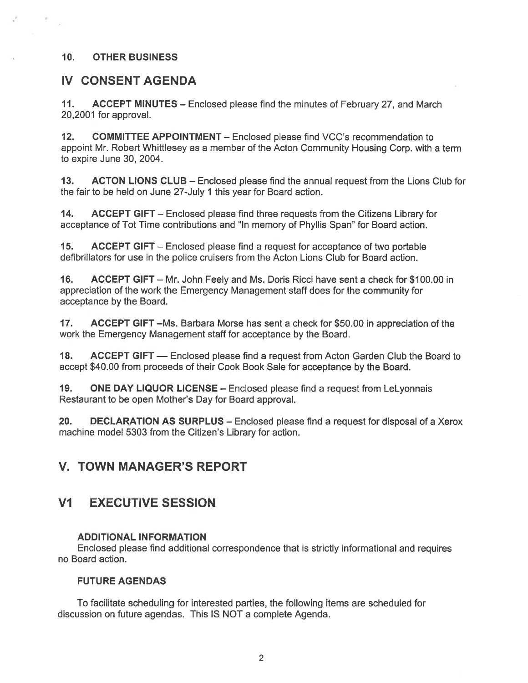### 10. OTHER BUSINESS

### IV CONSENT AGENDA

11. ACCEPT MINUTES — Enclosed please find the minutes of February 27, and March 20,2001 for approval.

12. COMMITTEE APPOINTMENT - Enclosed please find VCC's recommendation to appoint Mr. Robert Whittlesey as <sup>a</sup> member of the Acton Community Housing Corp. with <sup>a</sup> term to expire June 30, 2004.

13. ACTON LIONS CLUB – Enclosed please find the annual request from the Lions Club for the fair to be held on June 27-July 1 this year for Board action.

14. ACCEPT GIFT – Enclosed please find three requests from the Citizens Library for acceptance of Tot Time contributions and "In memory of Phyllis Span" for Board action.

15. ACCEPT GIFT — Enclosed please find <sup>a</sup> reques<sup>t</sup> for acceptance of two portable defibrillators for use in the police cruisers from the Acton Lions Club for Board action.

16. ACCEPT GIFT — Mr. John Feely and Ms. Doris Ricci have sent <sup>a</sup> check for \$100.00 in appreciation of the work the Emergency Management staff does for the community for acceptance by the Board.

17. ACCEPT GIFT – Ms. Barbara Morse has sent a check for \$50.00 in appreciation of the work the Emergency Management staff for acceptance by the Board.

18. ACCEPT GIFT — Enclosed please find a request from Acton Garden Club the Board to accep<sup>t</sup> \$40.00 from proceeds of their Cook Book Sale for acceptance by the Board.

19. ONE DAY LIQUOR LICENSE – Enclosed please find a request from LeLyonnais Restaurant to be open Mother's Day for Board approval.

20. DECLARATION AS SURPLUS — Enclosed please find <sup>a</sup> reques<sup>t</sup> for disposal of <sup>a</sup> Xerox machine model 5303 from the Citizen's Library for action.

### V. TOWN MANAGER'S REPORT

# Vi EXECUTIVE SESSION

#### ADDITIONAL INFORMATION

Enclosed please find additional correspondence that is strictly informational and requires no Board action.

#### FUTURE AGENDAS

To facilitate scheduling for interested parties, the following items are scheduled for discussion on future agendas. This IS NOT <sup>a</sup> complete Agenda.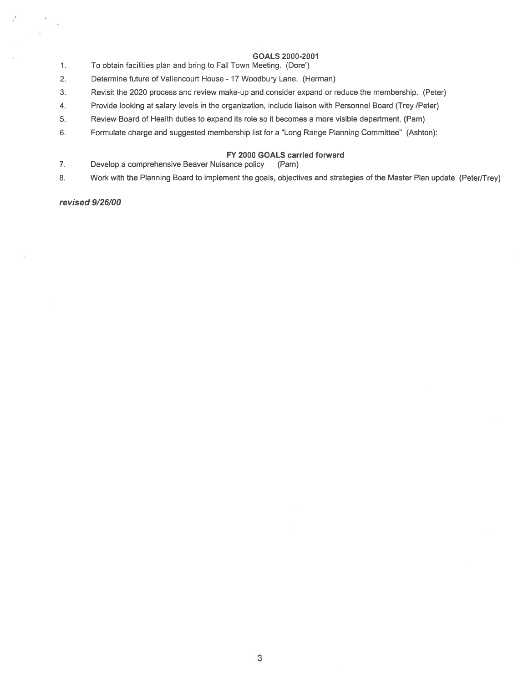#### GOALS 2000-2001

- 1. To obtain facilities plan and bring to Fall Town Meeting. (Dore')
- 2. Determine future of Vallencourt House 17 Woodbury Lane. (Herman)
- 3. Revisit the 2020 process and review make-up and consider expand or reduce the membership. (Peter)
- 4. Provide looking at salary levels in the organization, include liaison with Personnel Board (Trey /Peter)
- 5. Review Board of Health duties to expand its role so it becomes <sup>a</sup> more visible department. (Pam)
- 6. Formulate charge and suggested membership list for <sup>a</sup> "Long Range Planning Committee" (Ashton):

#### FY 2000 GOALS carried forward

- 7. Develop <sup>a</sup> comprehensive Beaver Nuisance policy (Pam)
- 8. Work with the Planning Board to implement the goals, objectives and strategies of the Master Plan update (Peter/Trey)

revised 9/26/00

ŵ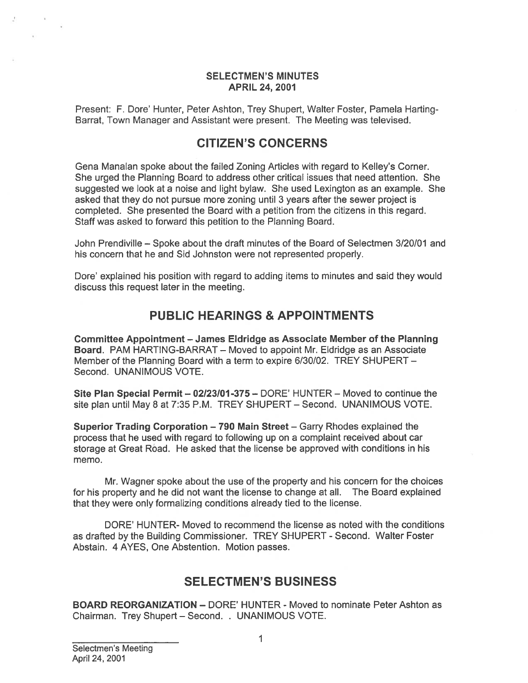#### SELECTMEN'S MINUTES APRIL 24, 2001

Present: F. Dore' Hunter, Peter Ashton, Trey Shupert, Walter Foster, Pamela Harting-Barrat, Town Manager and Assistant were present. The Meeting was televised.

## CITIZEN'S CONCERNS

Gena Manalan spoke about the failed Zoning Articles with regard to Kelley's Corner. She urged the Planning Board to address other critical issues that need attention. She suggested we look at <sup>a</sup> noise and light bylaw. She used Lexington as an example. She asked that they do not pursue more zoning until 3 years after the sewer project is completed. She presented the Board with <sup>a</sup> petition from the citizens in this regard. Staff was asked to forward this petition to the Planning Board.

John Prendiville — Spoke about the draft minutes of the Board of Selectmen 3/20/01 and his concern that he and Sid Johnston were not represented properly.

Dote' explained his position with regard to adding items to minutes and said they would discuss this reques<sup>t</sup> later in the meeting.

# PUBLIC HEARINGS & APPOINTMENTS

Committee Appointment — James Eldridge as Associate Member of the Planning Board. PAM HARTING-BARRAT – Moved to appoint Mr. Eldridge as an Associate Member of the Planning Board with <sup>a</sup> term to expire 6/30/02. TREY SHUPERT — Second. UNANIMOUS VOTE.

Site Plan Special Permit - 02/23/01-375 - DORE' HUNTER - Moved to continue the site plan until May 8 at 7:35 P.M. TREY SHUPERT — Second. UNANIMOUS VOTE.

Superior Trading Corporation — 790 Main Street — Garry Rhodes explained the process that he used with regard to following up on <sup>a</sup> complaint received about car storage at Great Road. He asked that the license be approved with conditions in his memo.

Mr. Wagner spoke about the use of the property and his concern for the choices for his property and he did not want the license to change at all. The Board explained that they were only formalizing conditions already tied to the license.

DORE' HUNTER- Moved to recommend the license as noted with the conditions as drafted by the Building Commissioner. TREY SHUPERT - Second. Walter Foster Abstain. 4 AYES, One Abstention. Motion passes.

# SELECTMEN'S BUSINESS

**BOARD REORGANIZATION – DORE' HUNTER - Moved to nominate Peter Ashton as** Chairman. Trey Shupert — Second. . UNANIMOUS VOTE.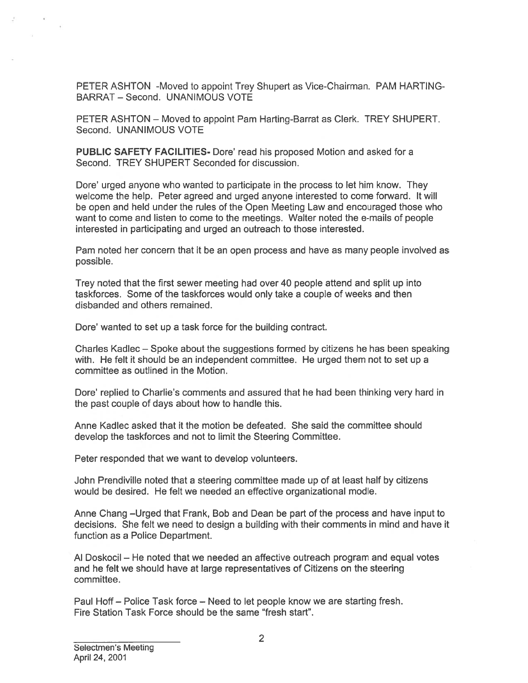PETER ASHTON -Moved to appoint Trey Shupert as Vice-Chairman. PAM HARTING BARRAT — Second. UNANIMOUS VOTE

PETER ASHTON — Moved to appoint Pam Harting-Barrat as Clerk. TREY SHUPERT. Second. UNANIMOUS VOTE

PUBLIC SAFETY FACILITIES- Dore' read his proposed Motion and asked for <sup>a</sup> Second. TREY SHUPERT Seconded for discussion.

Dore' urged anyone who wanted to participate in the process to let him know. They welcome the help. Peter agreed and urged anyone interested to come forward. It will be open and held under the rules of the Open Meeting Law and encouraged those who want to come and listen to come to the meetings. Walter noted the e-mails of people interested in participating and urged an outreach to those interested. PETER ASHTON -Moved to appoint Trey Shupert as V<br>BARRAT – Second. UNANIMOUS VOTE<br>PETER ASHTON – Moved to appoint Pam Harting-Barr<br>Second. UNANIMOUS VOTE<br>PUBLIC SAFEEY FACILITIES- Dore' read his propose<br>Second. TREY SHUPERT

Pam noted her concern that it be an open process and have as many people involved as possible.

Trey noted that the first sewer meeting had over 40 people attend and split up into taskforces. Some of the taskforces would only take <sup>a</sup> couple of weeks and then disbanded and others remained.

Dore' wanted to set up a task force for the building contract.

Charles Kadlec — Spoke about the suggestions formed by citizens he has been speaking with. He felt it should be an independent committee. He urged them not to set up <sup>a</sup> committee as outlined in the Motion.

Dore' replied to Charlie's comments and assured that he had been thinking very hard in the pas<sup>t</sup> couple of days about how to handle this.

Anne Kadlec asked that it the motion be defeated. She said the committee should develop the taskforces and not to limit the Steering Committee.

Peter responded that we want to develop volunteers.

John Prendiville noted that <sup>a</sup> steering committee made up of at least half by citizens would be desired. He felt we needed an effective organizational modle.

Anne Chang —Urged that Frank, Bob and Dean be par<sup>t</sup> of the process and have input to decisions. She felt we need to design <sup>a</sup> building with their comments in mind and have it function as <sup>a</sup> Police Department.

Al Doskocil — He noted that we needed an affective outreach program and equal votes and he felt we should have at large representatives of Citizens on the steering commiffee.

Paul Hoff — Police Task force — Need to let people know we are starting fresh.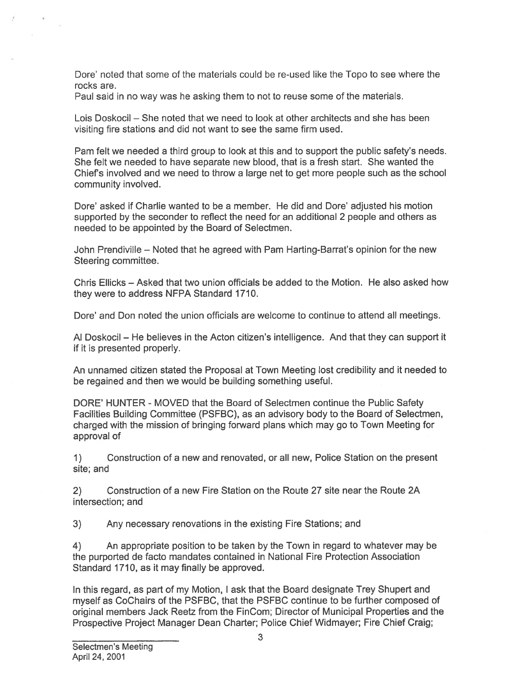Dore' noted that some of the materials could be re-used like the Topo to see where the rocks are.

Paul said in no way was he asking them to not to reuse some of the materials.

Lois Doskocil — She noted that we need to look at other architects and she has been visiting fire stations and did not want to see the same firm used.

Pam felt we needed <sup>a</sup> third group to look at this and to suppor<sup>t</sup> the public safety's needs. She felt we needed to have separate new blood, that is <sup>a</sup> fresh start. She wanted the Chiefs involved and we need to throw <sup>a</sup> large net to ge<sup>t</sup> more people such as the school community involved.

Dore' asked if Charlie wanted to be <sup>a</sup> member. He did and Dore' adjusted his motion supported by the seconder to reflect the need for an additional 2 people and others as needed to be appointed by the Board of Selectmen.

John Prendiville — Noted that he agreed with Pam Harting-Barrat's opinion for the new Steering committee.

Chris Ellicks — Asked that two union officials be added to the Motion. He also asked how they were to address NFPA Standard 1710.

Dore' and Don noted the union officials are welcome to continue to attend all meetings.

Al Doskocil — He believes in the Acton citizen's intelligence. And that they can suppor<sup>t</sup> it if it is presented properly.

An unnamed citizen stated the Proposal at Town Meeting lost credibility and it needed to be regained and then we would be building something useful.

DORE' HUNTER - MOVED that the Board of Selectmen continue the Public Safety Facilities Building Committee (PSFBC), as an advisory body to the Board of Selectmen, charged with the mission of bringing forward plans which may go to Town Meeting for approval of Dore" noted that some of the materials could be re-used like the Topo to see where the<br>Cost are, are, as a saking them to not to rease across of the materials.<br>
Cols Doskocil – She noted that we need to look at other archi

1) Construction of <sup>a</sup> new and renovated, or all new, Police Station on the presen<sup>t</sup> site; and

2) Construction of <sup>a</sup> new Fire Station on the Route 27 site near the Route 2A intersection; and

3) Any necessary renovations in the existing Fire Stations; and

4) An appropriate position to be taken by the Town in regard to whatever may be the purported de facto mandates contained in National Fire Protection Association Standard 1710, as it may finally be approved.

In this regard, as par<sup>t</sup> of my Motion, I ask that the Board designate Trey Shupert and myself as CoChairs of the PSFBC, that the PSFBC continue to be further composed of original members Jack Reetz from the FinCom; Director of Municipal Properties and the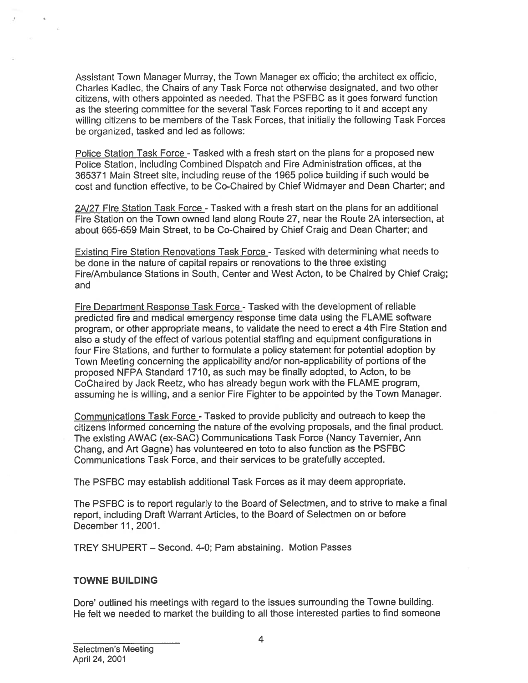Assistant Town Manager Murray, the Town Manager ex officio; the architect ex officio, Charles Kadlec, the Chairs of any Task Force not otherwise designated, and two other citizens, with others appointed as needed. That the PSFBC as it goes forward function as the steering committee for the several Task Forces reporting to it and accep<sup>t</sup> any willing citizens to be members of the Task Forces, that initially the following Task Forces be organized, tasked and led as follows:

Police Station Task Force - Tasked with a fresh start on the plans for a proposed new Police Station, including Combined Dispatch and Fire Administration offices, at the 365371 Main Street site, including reuse of the 1965 police building if such would be cost and function effective, to be Co-Chaired by Chief Widmayer and Dean Charter; and

2A/27 Fire Station Task Force - Tasked with a fresh start on the plans for an additional Fire Station on the Town owned land along Route 27, near the Route 2A intersection, at about 665-659 Main Street, to be Co-Chaired by Chief Craig and Dean Charter; and

Existing Fire Station Renovations Task Force - Tasked with determining what needs to be done in the nature of capital repairs or renovations to the three existing Fire/Ambulance Stations in South, Center and West Acton, to be Chaired by Chief Craig; and

Fire Department Response Task Force -Tasked with the development of reliable predicted fire and medical emergency response time data using the FLAME software program, or other appropriate means, to validate the need to erect <sup>a</sup> 4th Fire Station and also <sup>a</sup> study of the effect of various potential staffing and equipment configurations in four Fire Stations, and further to formulate <sup>a</sup> policy statement for potential adoption by Town Meeting concerning the applicability and/or non-applicability of portions of the proposed NFPA Standard 1710, as such may be finally adopted, to Acton, to be CoChaired by Jack Reetz, who has already begun work with the FLAME program, assuming he is willing, and <sup>a</sup> senior Fire Fighter to be appointed by the Town Manager.

Communications Task Force - Tasked to provide publicity and outreach to keep the citizens informed concerning the nature of the evolving proposals, and the final product. The existing AWAC (ex-SAC) Communications Task Force (Nancy Tavernier, Ann Chang, and Art Gagne) has volunteered en toto to also function as the PSFBC Communications Task Force, and their services to be gratefully accepted.

The PSFBC may establish additional Task Forces as it may deem appropriate.

The PSFBC is to repor<sup>t</sup> regularly to the Board of Selectmen, and to strive to make <sup>a</sup> final report, including Draft Warrant Articles, to the Board of Selectmen on or before December11, 2001.

TREY SHUPERT — Second. 4-0; Pam abstaining. Motion Passes

### TOWNE BUILDING

Dore' outlined his meetings with regard to the issues surrounding the Towne building. He felt we needed to market the building to all those interested parties to find someone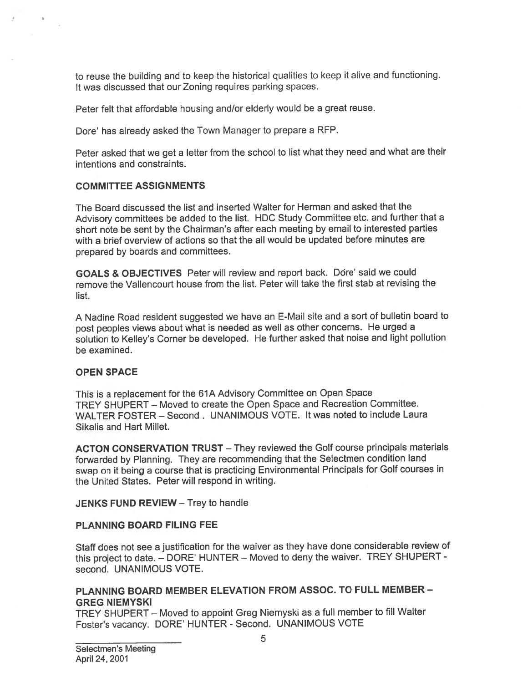to reuse the building and to keep the historical qualities to keep it alive and functioning. It was discussed that our Zoning requires parking spaces.

Peter felt that affordable housing and/or elderly would be <sup>a</sup> grea<sup>t</sup> reuse.

Dore' has already asked the Town Manager to prepare <sup>a</sup> RFP.

Peter asked that we ge<sup>t</sup> <sup>a</sup> letter from the school to list what they need and what are their intentions and constraints.

### COMMITTEE ASSIGNMENTS

The Board discussed the list and inserted Walter for Herman and asked that the Advisory committees be added to the list. HDC Study Committee etc. and further that <sup>a</sup> short note be sent by the Chairman's after each meeting by email to interested parties with <sup>a</sup> brief overview of actions so that the all would be updated before minutes are prepare<sup>d</sup> by boards and committees. to reuse the building and to keep the historical qualities to keep it all<br>three discussed that our Zoning requires parking spaces.<br>Peter felt that affordable housing and/or elderly would be a great reu<br>Dore' has already as

GOALS & OBJECTIVES Peter will review and repor<sup>t</sup> back. Dore' said we could remove the Vallencourt house from the list. Peter will take the first stab at revising the list.

<sup>A</sup> Nadine Road resident suggested we have an E-Mail site and <sup>a</sup> sort of bulletin board to pos<sup>t</sup> peoples views about what is needed as well as other concerns. He urge<sup>d</sup> <sup>a</sup> solution to Kelley's Corner be developed. He further asked that noise and light pollution be examined.

### OPEN SPACE

This is <sup>a</sup> replacement for the 61A Advisory Committee on Open Space TREY SHUPERT — Moved to create the Open Space and Recreation Committee. WALTER FOSTER — Second. UNANIMOUS VOTE. It was noted to include Laura Sikalis and Hart Millet.

ACTON CONSERVATION TRUST — They reviewed the Golf course principals materials forwarded by Planning. They are recommending that the Selectmen condition land swap on it being <sup>a</sup> course that is practicing Environmental Principals for Golf courses in the United States. Peter will respond in writing.

#### JENKS FUND REVIEW — Trey to handle

#### PLANNING BOARD FILING FEE

Staff does not see <sup>a</sup> justification for the waiver as they have done considerable review of this project to date. — DORE' HUNTER — Moved to deny the waiver. TREY SHUPERT second. UNANIMOUS VOTE.

### PLANNING BOARD MEMBER ELEVATION FROM ASSOC. TO FULL MEMBER -GREG NIEMYSKI

TREY SHUPERT — Moved to appoint Greg Niemyski as <sup>a</sup> full member to fill Walter